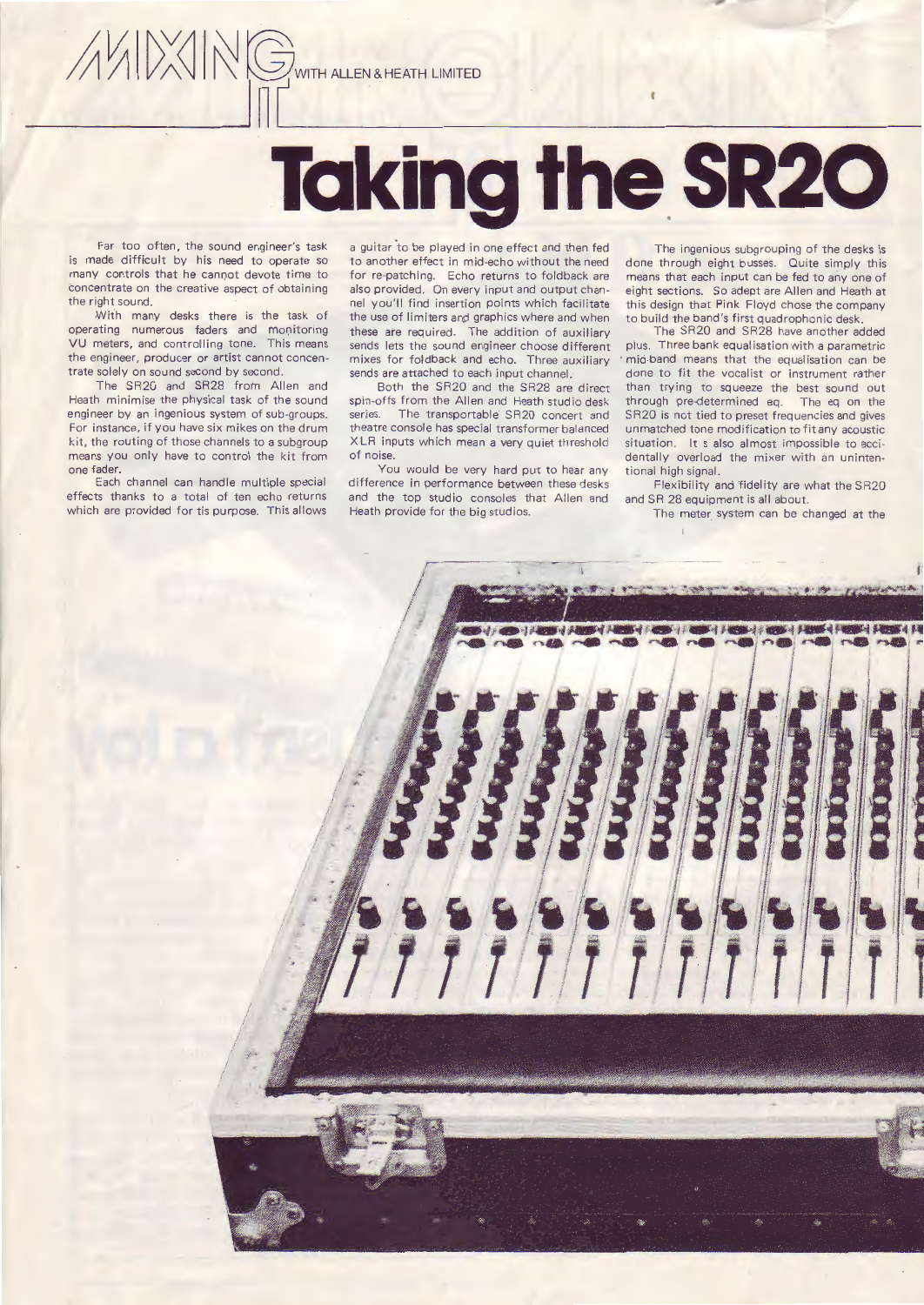# **Taking the. SR20**

Far too often, the sound engineer's task is made difficult by his need to operate so many controls that he cannot devote time to concentrate on the creative aspect of obtaining the right sound.

 $\Box$ 

With many desks there is the task of operating numerous faders and monitoring VU meters, and controlling tone. This means the engineer, producer or artist cannot concentrate solely on sound second by second.

The SR2G and SR28 from Allen and Heath minimise the physical task of the sound engineer by an ingenious system of sub-groups. For instance. if you have six mikes on the drum kit, the routing of those channels to a subgroup means you only have to control the kit from one fader.

Each channel can handle multiple special effects thanks to a total of ten echo returns which are provided for tis purpose. This allows

a guitar to be played in one effect and then fed to another effect in mid-echo without the need for re-patching. Echo returns to foldback are also provided. On every input and output channel you'll find insertion points which facilitate the use of limiters and graphics where and when these are required. The addition of auxiliary sends lets the sound engineer choose different mixes for foldback and echo. Three auxiliary sends are attached to each input channel.

Both the SR20 and the SR28 are direct spin-offs from the Allen and Heath studio desk series. The transportable SR20 concert and theatre console has special transformer balanced XLR inputs which mean a very quiet threshold of noise.

You would be very hard put to hear any difference in performance between these desks and the top studio consoles that Allen and Heath provide for the big studios.

The ingenious subgrouping of the desks is done through eight busses. Quite simply this means that each input can be fed to any one of eight sections. So adept are Allen and Heath at this design that Pink Floyd chose the company to build the band's first quadraphonic desk.

The SR20 and SR28 have another added plus. Three bank equalisation with a parametric mid-band means that the equalisation can be done to fit the vocalist or instrument rather than trying to squeeze the best sound out through pre-determined eq. The eq on the SR20 is not tied to preset frequencies and gives unmatched tone modification to fit any acoustic situation. It s also almost impossible to accidentally overload the mixer with an unintentional high signal.

Flexibility and fidelity are what the SR20 and SR 28 equipment is all about.

The meter system can be changed at the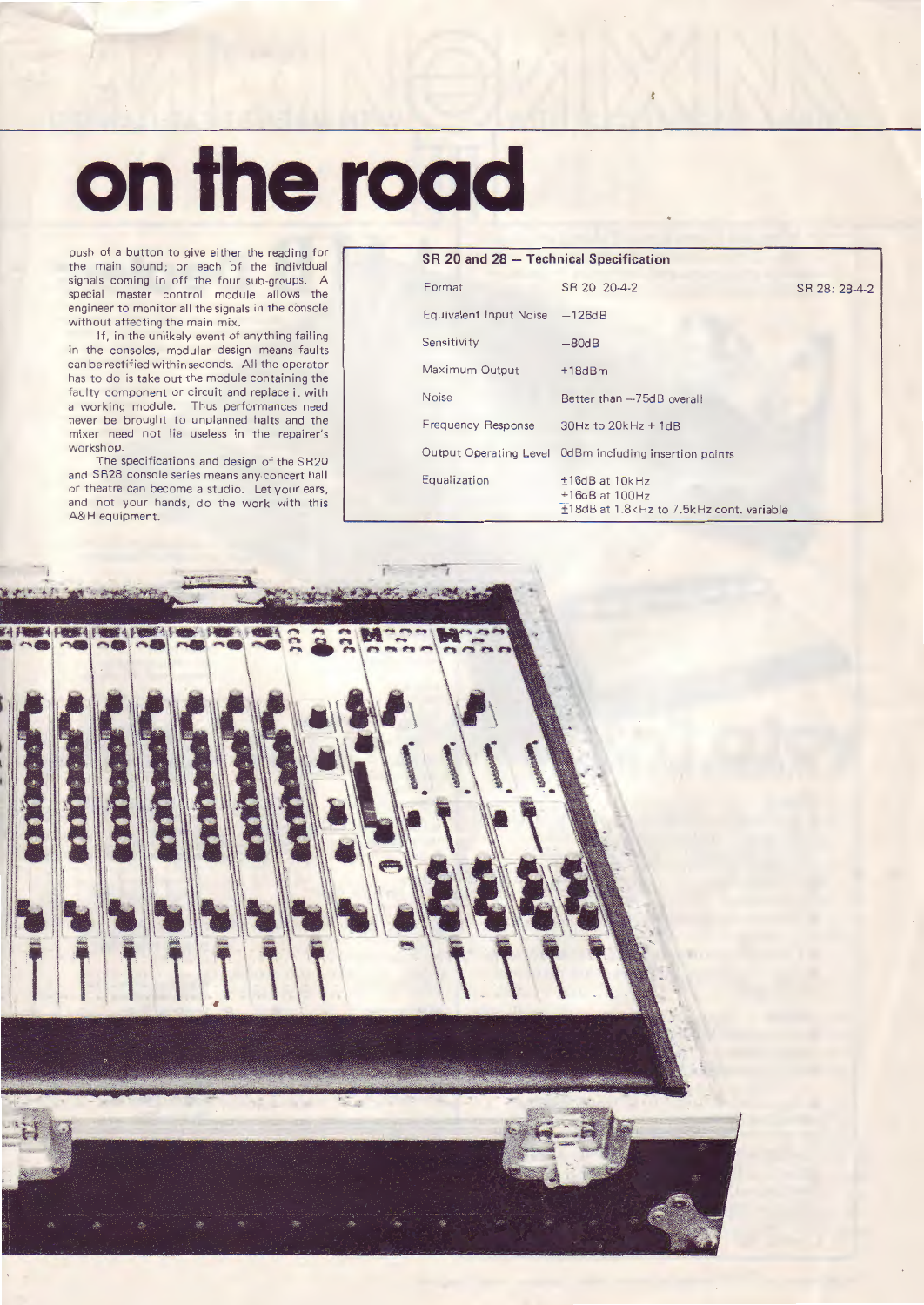## **on the road**

push of a button to give either the reading for the main sound, or each of the individual signals coming in off the four sub-groups. A special master control module allows the engineer to monitor all the signals in the console without affecting the main mix.

If, in the unlikely event of anything failing in the consoles, modular design means faults can be rectified within seconds. All the operator has to do is take out the module containing the faulty component or circuit and replace it with a working module. Thus performances need never be brought to unplanned halts and the mixer need not lie useless in the repairer's workshop.

The specifications and design of the SR20 and SR28 console series means any concert hall or theatre can become a studio. Let your ears, and not your hands, do the work with this A&H equipment.

| SR 20 and 28 - Technical Specification |                                                                                     |               |
|----------------------------------------|-------------------------------------------------------------------------------------|---------------|
| Format                                 | SR 20 20-4-2                                                                        | SR 28: 28-4-2 |
| Equivalent Input Noise                 | $-126dB$                                                                            |               |
| Sensitivity                            | $-80dB$                                                                             |               |
| Maximum Output                         | $+18dBm$                                                                            |               |
| Noise                                  | Better than -75dB overall                                                           |               |
| Frequency Response                     | $30Hz$ to $20kHz + 1dB$                                                             |               |
| Output Operating Level                 | 0dBm including insertion points                                                     |               |
| Equalization                           | $±16dB$ at $10k$ Hz<br>$±16dB$ at 100Hz<br>±18dB at 1.8kHz to 7.5kHz cont. variable |               |